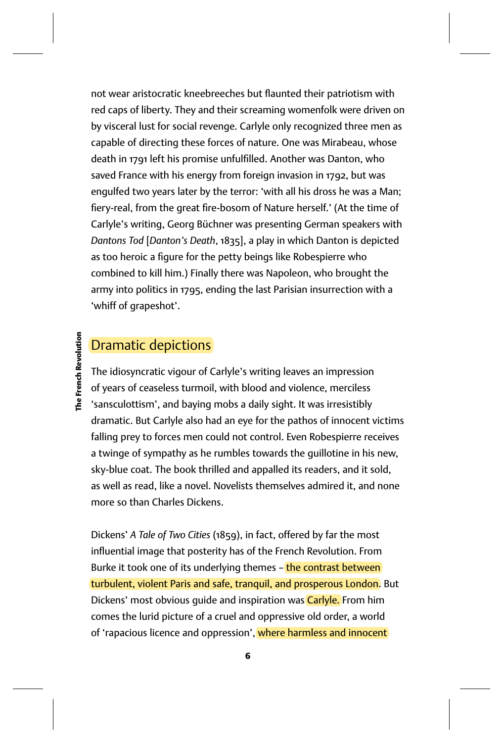not wear aristocratic kneebreeches but flaunted their patriotism with red caps of liberty. They and their screaming womenfolk were driven on by visceral lust for social revenge. Carlyle only recognized three men as capable of directing these forces of nature. One was Mirabeau, whose death in 1791 left his promise unfulfilled. Another was Danton, who saved France with his energy from foreign invasion in 1792, but was engulfed two years later by the terror: 'with all his dross he was a Man; fiery-real, from the great fire-bosom of Nature herself.' (At the time of Carlyle's writing, Georg Büchner was presenting German speakers with *Dantons Tod* [*Danton's Death*, 1835], a play in which Danton is depicted as too heroic a figure for the petty beings like Robespierre who combined to kill him.) Finally there was Napoleon, who brought the army into politics in 1795, ending the last Parisian insurrection with a 'whiff of grapeshot'.

## **The French Revolution The French Revolution**

## Dramatic depictions

The idiosyncratic vigour of Carlyle's writing leaves an impression of years of ceaseless turmoil, with blood and violence, merciless 'sansculottism', and baying mobs a daily sight. It was irresistibly dramatic. But Carlyle also had an eye for the pathos of innocent victims falling prey to forces men could not control. Even Robespierre receives a twinge of sympathy as he rumbles towards the guillotine in his new, sky-blue coat. The book thrilled and appalled its readers, and it sold, as well as read, like a novel. Novelists themselves admired it, and none more so than Charles Dickens.

Dickens' *A Tale of Two Cities* (1859), in fact, offered by far the most influential image that posterity has of the French Revolution. From Burke it took one of its underlying themes - the contrast between turbulent, violent Paris and safe, tranquil, and prosperous London. But Dickens' most obvious quide and inspiration was **Carlyle**. From him comes the lurid picture of a cruel and oppressive old order, a world of 'rapacious licence and oppression', where harmless and innocent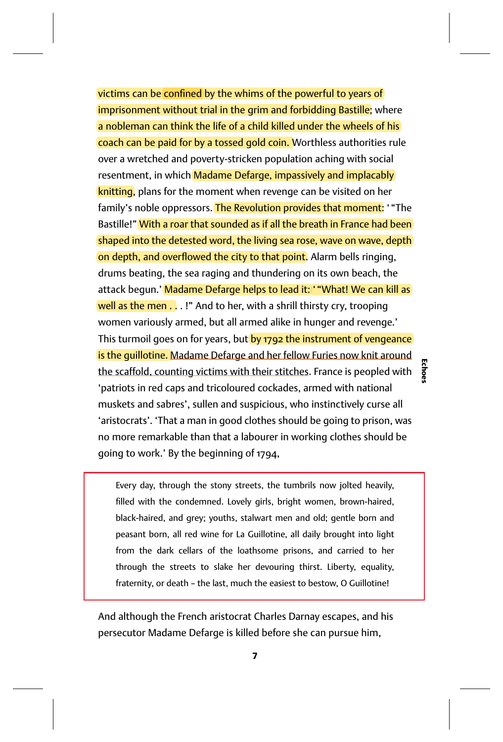victims can be confined by the whims of the powerful to years of imprisonment without trial in the grim and forbidding Bastille; where a nobleman can think the life of a child killed under the wheels of his coach can be paid for by a tossed gold coin. Worthless authorities rule over a wretched and poverty-stricken population aching with social resentment, in which Madame Defarge, impassively and implacably knitting, plans for the moment when revenge can be visited on her family's noble oppressors. The Revolution provides that moment: ' "The Bastille!" With a roar that sounded as if all the breath in France had been shaped into the detested word, the living sea rose, wave on wave, depth on depth, and overflowed the city to that point. Alarm bells ringing, drums beating, the sea raging and thundering on its own beach, the attack begun.' Madame Defarge helps to lead it: ' "What! We can kill as well as the men . . . !" And to her, with a shrill thirsty cry, trooping women variously armed, but all armed alike in hunger and revenge.' This turmoil goes on for years, but by 1792 the instrument of vengeance is the quillotine. Madame Defarge and her fellow Furies now knit around the scaffold, counting victims with their stitches. France is peopled with 'patriots in red caps and tricoloured cockades, armed with national muskets and sabres', sullen and suspicious, who instinctively curse all 'aristocrats'. 'That a man in good clothes should be going to prison, was no more remarkable than that a labourer in working clothes should be going to work.' By the beginning of 1794,

Every day, through the stony streets, the tumbrils now jolted heavily, filled with the condemned. Lovely girls, bright women, brown-haired, black-haired, and grey; youths, stalwart men and old; gentle born and peasant born, all red wine for La Guillotine, all daily brought into light from the dark cellars of the loathsome prisons, and carried to her through the streets to slake her devouring thirst. Liberty, equality, fraternity, or death – the last, much the easiest to bestow, O Guillotine!

And although the French aristocrat Charles Darnay escapes, and his persecutor Madame Defarge is killed before she can pursue him,

**Echoes**